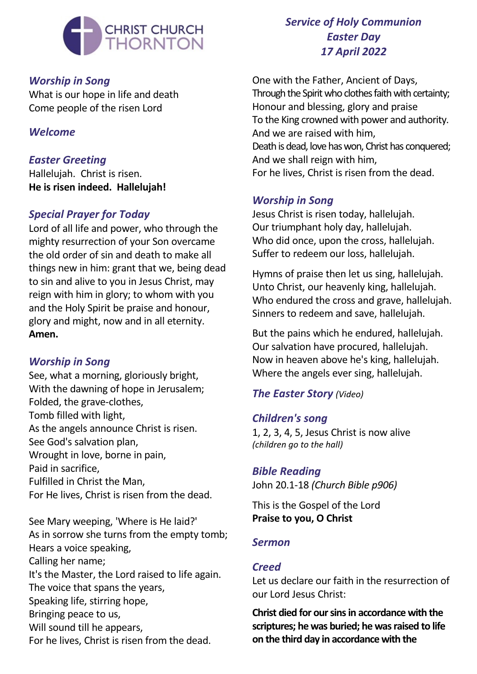

#### *Worship in Song*

What is our hope in life and death Come people of the risen Lord

## *Welcome*

## *Easter Greeting*

Hallelujah. Christ is risen. **He is risen indeed. Hallelujah!**

# *Special Prayer for Today*

Lord of all life and power, who through the mighty resurrection of your Son overcame the old order of sin and death to make all things new in him: grant that we, being dead to sin and alive to you in Jesus Christ, may reign with him in glory; to whom with you and the Holy Spirit be praise and honour, glory and might, now and in all eternity. **Amen.**

# *Worship in Song*

See, what a morning, gloriously bright, With the dawning of hope in Jerusalem; Folded, the grave-clothes, Tomb filled with light, As the angels announce Christ is risen. See God's salvation plan, Wrought in love, borne in pain, Paid in sacrifice, Fulfilled in Christ the Man, For He lives, Christ is risen from the dead.

See Mary weeping, 'Where is He laid?' As in sorrow she turns from the empty tomb; Hears a voice speaking, Calling her name; It's the Master, the Lord raised to life again. The voice that spans the years, Speaking life, stirring hope, Bringing peace to us, Will sound till he appears, For he lives, Christ is risen from the dead.

# *Service of Holy Communion Easter Day 17 April 2022*

One with the Father, Ancient of Days, Through the Spirit who clothes faith with certainty; Honour and blessing, glory and praise To the King crowned with power and authority. And we are raised with him, Death is dead, love has won, Christ has conquered; And we shall reign with him, For he lives, Christ is risen from the dead.

# *Worship in Song*

Jesus Christ is risen today, hallelujah. Our triumphant holy day, hallelujah. Who did once, upon the cross, hallelujah. Suffer to redeem our loss, hallelujah.

Hymns of praise then let us sing, hallelujah. Unto Christ, our heavenly king, hallelujah. Who endured the cross and grave, hallelujah. Sinners to redeem and save, hallelujah.

But the pains which he endured, hallelujah. Our salvation have procured, hallelujah. Now in heaven above he's king, hallelujah. Where the angels ever sing, hallelujah.

# *The Easter Story (Video)*

### *Children's song*

1, 2, 3, 4, 5, Jesus Christ is now alive *(children go to the hall)*

#### *Bible Reading*

John 20.1-18 *(Church Bible p906)*

This is the Gospel of the Lord **Praise to you, O Christ**

### *Sermon*

### *Creed*

Let us declare our faith in the resurrection of our Lord Jesus Christ:

**Christ died for oursinsin accordance with the scriptures; he was buried; he wasraised to life on the third day in accordance with the**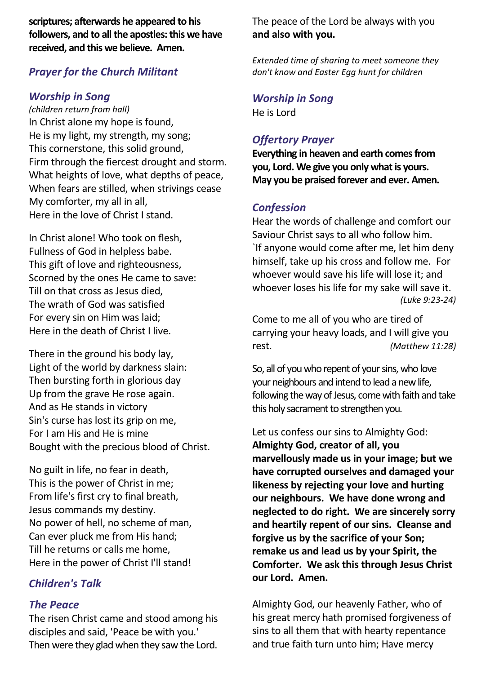**scriptures; afterwards he appeared to his followers, and to all the apostles: this we have received, and this we believe. Amen.**

## *Prayer for the Church Militant*

### *Worship in Song*

*(children return from hall)* In Christ alone my hope is found, He is my light, my strength, my song; This cornerstone, this solid ground, Firm through the fiercest drought and storm. What heights of love, what depths of peace, When fears are stilled, when strivings cease My comforter, my all in all, Here in the love of Christ I stand.

In Christ alone! Who took on flesh, Fullness of God in helpless babe. This gift of love and righteousness, Scorned by the ones He came to save: Till on that cross as Jesus died, The wrath of God was satisfied For every sin on Him was laid; Here in the death of Christ I live.

There in the ground his body lay, Light of the world by darkness slain: Then bursting forth in glorious day Up from the grave He rose again. And as He stands in victory Sin's curse has lost its grip on me, For I am His and He is mine Bought with the precious blood of Christ.

No guilt in life, no fear in death, This is the power of Christ in me; From life's first cry to final breath, Jesus commands my destiny. No power of hell, no scheme of man, Can ever pluck me from His hand; Till he returns or calls me home, Here in the power of Christ I'll stand!

# *Children's Talk*

#### *The Peace*

The risen Christ came and stood among his disciples and said, 'Peace be with you.' Then were they glad when they saw the Lord.

The peace of the Lord be always with you **and also with you.**

*Extended time of sharing to meet someone they don't know and Easter Egg hunt for children*

*Worship in Song* He is Lord

## *Offertory Prayer*

**Everything in heaven and earth comes from you, Lord.** We give you only what is yours. **May you be praised forever and ever. Amen.**

### *Confession*

Hear the words of challenge and comfort our Saviour Christ says to all who follow him. `If anyone would come after me, let him deny himself, take up his cross and follow me. For whoever would save his life will lose it; and whoever loses his life for my sake will save it. *(Luke 9:23-24)*

Come to me all of you who are tired of carrying your heavy loads, and I will give you rest. *(Matthew 11:28)*

So, all of you who repent of your sins, who love your neighbours and intend to lead a new life, following the way of Jesus, come with faith and take this holy sacrament to strengthen you.

Let us confess our sins to Almighty God: **Almighty God, creator of all, you marvellously made us in your image; but we have corrupted ourselves and damaged your likeness by rejecting your love and hurting our neighbours. We have done wrong and neglected to do right. We are sincerely sorry and heartily repent of our sins. Cleanse and forgive us by the sacrifice of your Son; remake us and lead us by your Spirit, the Comforter. We ask this through Jesus Christ our Lord. Amen.**

Almighty God, our heavenly Father, who of his great mercy hath promised forgiveness of sins to all them that with hearty repentance and true faith turn unto him; Have mercy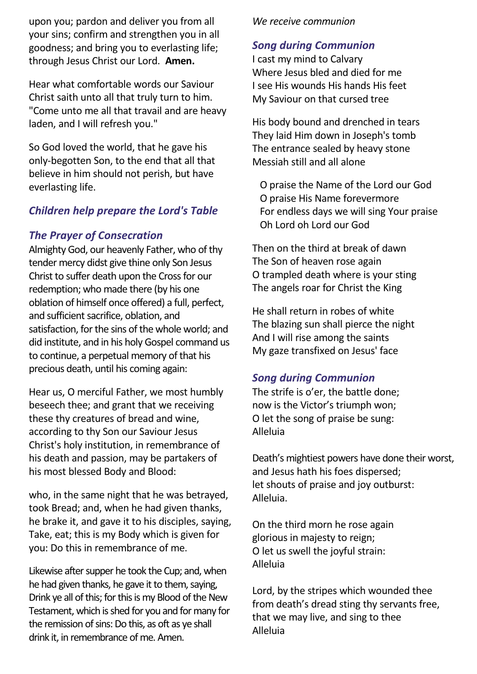upon you; pardon and deliver you from all your sins; confirm and strengthen you in all goodness; and bring you to everlasting life; through Jesus Christ our Lord. **Amen.**

Hear what comfortable words our Saviour Christ saith unto all that truly turn to him. "Come unto me all that travail and are heavy laden, and I will refresh you."

So God loved the world, that he gave his only-begotten Son, to the end that all that believe in him should not perish, but have everlasting life.

## *Children help prepare the Lord's Table*

## *The Prayer of Consecration*

Almighty God, our heavenly Father, who of thy tender mercy didst give thine only Son Jesus Christ to suffer death upon the Cross for our redemption; who made there (by his one oblation of himself once offered) a full, perfect, and sufficient sacrifice, oblation, and satisfaction, for the sins of the whole world; and did institute, and in his holy Gospel command us to continue, a perpetual memory of that his precious death, until his coming again:

Hear us, O merciful Father, we most humbly beseech thee; and grant that we receiving these thy creatures of bread and wine, according to thy Son our Saviour Jesus Christ's holy institution, in remembrance of his death and passion, may be partakers of his most blessed Body and Blood:

who, in the same night that he was betrayed, took Bread; and, when he had given thanks, he brake it, and gave it to his disciples, saying, Take, eat; this is my Body which is given for you: Do this in remembrance of me.

Likewise after supper he took the Cup; and, when he had given thanks, he gave it to them, saying, Drink ye all of this; for this is my Blood of the New Testament, which is shed for you and for many for the remission of sins: Do this, as oft as ye shall drink it, in remembrance of me. Amen.

#### *We receive communion*

## *Song during Communion*

I cast my mind to Calvary Where Jesus bled and died for me I see His wounds His hands His feet My Saviour on that cursed tree

His body bound and drenched in tears They laid Him down in Joseph's tomb The entrance sealed by heavy stone Messiah still and all alone

 O praise the Name of the Lord our God O praise His Name forevermore For endless days we will sing Your praise Oh Lord oh Lord our God

Then on the third at break of dawn The Son of heaven rose again O trampled death where is your sting The angels roar for Christ the King

He shall return in robes of white The blazing sun shall pierce the night And I will rise among the saints My gaze transfixed on Jesus' face

# *Song during Communion*

The strife is o'er, the battle done; now is the Victor's triumph won; O let the song of praise be sung: Alleluia

Death's mightiest powers have done their worst, and Jesus hath his foes dispersed; let shouts of praise and joy outburst: Alleluia.

On the third morn he rose again glorious in majesty to reign; O let us swell the joyful strain: Alleluia

Lord, by the stripes which wounded thee from death's dread sting thy servants free, that we may live, and sing to thee Alleluia